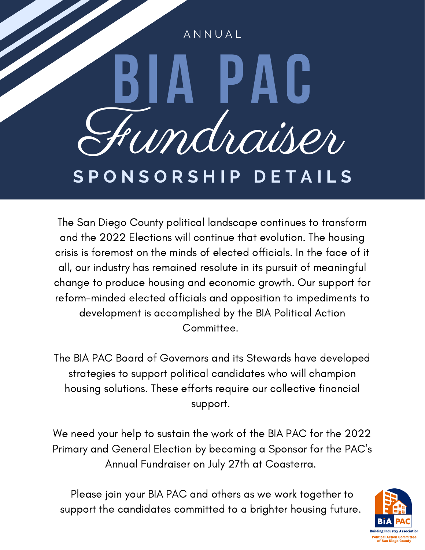## **BIA PAC** Fundraiser A N N U A L **S P O N S O R S H I P D E T A I L S**

The San Diego County political landscape continues to transform and the 2022 Elections will continue that evolution. The housing crisis is foremost on the minds of elected officials. In the face of it all, our industry has remained resolute in its pursuit of meaningful change to produce housing and economic growth. Our support for reform-minded elected officials and opposition to impediments to development is accomplished by the BIA Political Action Committee.

The BIA PAC Board of Governors and its Stewards have developed strategies to support political candidates who will champion housing solutions. These efforts require our collective financial support.

We need your help to sustain the work of the BIA PAC for the 2022 Primary and General Election by becoming a Sponsor for the PAC's Annual Fundraiser on July 27th at Coasterra.

Please join your BIA PAC and others as we work together to support the candidates committed to a brighter housing future.

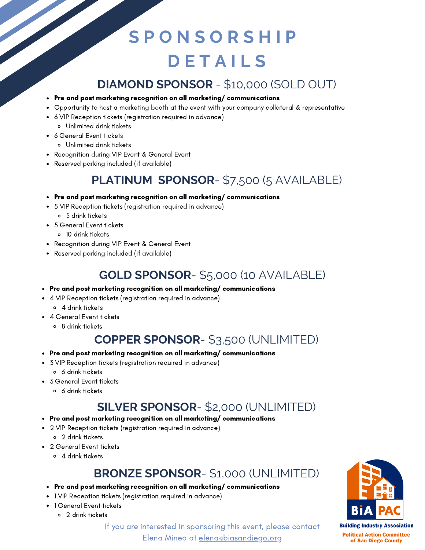### **S P O N S O R S H I P D E T A I L S**

#### **DIAMOND SPONSOR** - \$10,000 (SOLD OUT)

- Pre and post marketing recognition on all marketing/ communications
- Opportunity to host a marketing booth at the event with your company collateral & representative
- 6 VIP Reception tickets (registration required in advance)
	- Unlimited drink tickets
- 6 General Event tickets
	- Unlimited drink tickets
- Recognition during VIP Event & General Event
- Reserved parking included (if available)

#### **PLATINUM SPONSOR**- \$7,500 (5 AVAILABLE)

- Pre and post marketing recognition on all marketing/ communications
- 5 VIP Reception tickets (registration required in advance) 5 drink tickets
- 5 General Event tickets
	- 10 drink tickets
- Recognition during VIP Event & General Event
- Reserved parking included (if available)

#### **GOLD SPONSOR**- \$5,000 (10 AVAILABLE)

- Pre and post marketing recognition on all marketing/ communications
- 4 VIP Reception tickets (registration required in advance)
	- 4 drink tickets
	- 4 General Event tickets
		- 8 drink tickets

#### **COPPER SPONSOR**- \$3,500 (UNLIMITED)

- Pre and post marketing recognition on all marketing/ communications
- 3 VIP Reception tickets (registration required in advance)
	- 6 drink tickets
- 3 General Event tickets
	- 6 drink tickets

#### **SILVER SPONSOR**- \$2,000 (UNLIMITED)

#### Pre and post marketing recognition on all marketing/ communications

- 2 VIP Reception tickets (registration required in advance)
	- 2 drink tickets
- 2 General Event tickets
	- 4 drink tickets

#### **BRONZE SPONSOR**- \$1,000 (UNLIMITED)

- Pre and post marketing recognition on all marketing/ communications
- 1 VIP Reception tickets (registration required in advance)
- 1 General Event tickets
	- 2 drink tickets



**Political Action Committee** of San Diego County

If you are interested in sponsoring this event, please contact

Elena Mineo at [elena@biasandiego.org](mailto:elena@biasandiego.org)